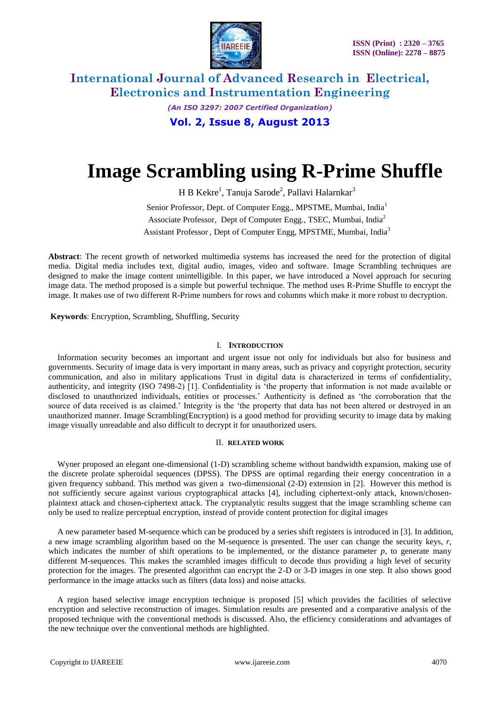

*(An ISO 3297: 2007 Certified Organization)* **Vol. 2, Issue 8, August 2013**

# **Image Scrambling using R-Prime Shuffle**

H B Kekre<sup>1</sup>, Tanuja Sarode<sup>2</sup>, Pallavi Halarnkar<sup>3</sup>

Senior Professor, Dept. of Computer Engg., MPSTME, Mumbai, India<sup>1</sup> Associate Professor, Dept of Computer Engg., TSEC, Mumbai, India<sup>2</sup> Assistant Professor *,* Dept of Computer Engg, MPSTME, Mumbai, India<sup>3</sup>

**Abstract**: The recent growth of networked multimedia systems has increased the need for the protection of digital media. Digital media includes text, digital audio, images, video and software. Image Scrambling techniques are designed to make the image content unintelligible. In this paper, we have introduced a Novel approach for securing image data. The method proposed is a simple but powerful technique. The method uses R-Prime Shuffle to encrypt the image. It makes use of two different R-Prime numbers for rows and columns which make it more robust to decryption.

**Keywords**: Encryption, Scrambling, Shuffling, Security

### I. **INTRODUCTION**

Information security becomes an important and urgent issue not only for individuals but also for business and governments. Security of image data is very important in many areas, such as privacy and copyright protection, security communication, and also in military applications Trust in digital data is characterized in terms of confidentiality, authenticity, and integrity (ISO 7498-2) [1]. Confidentiality is 'the property that information is not made available or disclosed to unauthorized individuals, entities or processes.' Authenticity is defined as 'the corroboration that the source of data received is as claimed.' Integrity is the 'the property that data has not been altered or destroyed in an unauthorized manner. Image Scrambling(Encryption) is a good method for providing security to image data by making image visually unreadable and also difficult to decrypt it for unauthorized users.

### II. **RELATED WORK**

Wyner proposed an elegant one-dimensional (1-D) scrambling scheme without bandwidth expansion, making use of the discrete prolate spheroidal sequences (DPSS). The DPSS are optimal regarding their energy concentration in a given frequency subband. This method was given a two-dimensional (2-D) extension in [2]. However this method is not sufficiently secure against various cryptographical attacks [4], including ciphertext-only attack, known/chosenplaintext attack and chosen-ciphertext attack. The cryptanalytic results suggest that the image scrambling scheme can only be used to realize perceptual encryption, instead of provide content protection for digital images

A new parameter based M-sequence which can be produced by a series shift registers is introduced in [3]. In addition, a new image scrambling algorithm based on the M-sequence is presented. The user can change the security keys, *r*, which indicates the number of shift operations to be implemented, or the distance parameter *p*, to generate many different M-sequences. This makes the scrambled images difficult to decode thus providing a high level of security protection for the images. The presented algorithm can encrypt the 2-D or 3-D images in one step. It also shows good performance in the image attacks such as filters (data loss) and noise attacks.

A region based selective image encryption technique is proposed [5] which provides the facilities of selective encryption and selective reconstruction of images. Simulation results are presented and a comparative analysis of the proposed technique with the conventional methods is discussed. Also, the efficiency considerations and advantages of the new technique over the conventional methods are highlighted.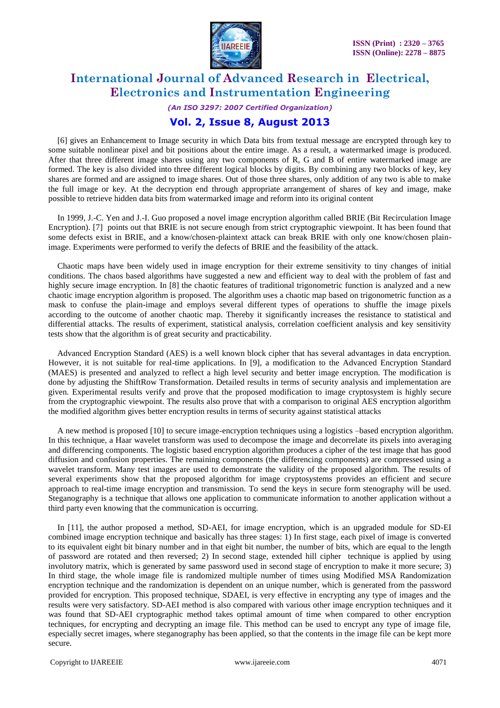

*(An ISO 3297: 2007 Certified Organization)*

### **Vol. 2, Issue 8, August 2013**

[6] gives an Enhancement to Image security in which Data bits from textual message are encrypted through key to some suitable nonlinear pixel and bit positions about the entire image. As a result, a watermarked image is produced. After that three different image shares using any two components of R, G and B of entire watermarked image are formed. The key is also divided into three different logical blocks by digits. By combining any two blocks of key, key shares are formed and are assigned to image shares. Out of those three shares, only addition of any two is able to make the full image or key. At the decryption end through appropriate arrangement of shares of key and image, make possible to retrieve hidden data bits from watermarked image and reform into its original content

In 1999, J.-C. Yen and J.-I. Guo proposed a novel image encryption algorithm called BRIE (Bit Recirculation Image Encryption). [7] points out that BRIE is not secure enough from strict cryptographic viewpoint. It has been found that some defects exist in BRIE, and a know/chosen-plaintext attack can break BRIE with only one know/chosen plainimage. Experiments were performed to verify the defects of BRIE and the feasibility of the attack.

Chaotic maps have been widely used in image encryption for their extreme sensitivity to tiny changes of initial conditions. The chaos based algorithms have suggested a new and efficient way to deal with the problem of fast and highly secure image encryption. In [8] the chaotic features of traditional trigonometric function is analyzed and a new chaotic image encryption algorithm is proposed. The algorithm uses a chaotic map based on trigonometric function as a mask to confuse the plain-image and employs several different types of operations to shuffle the image pixels according to the outcome of another chaotic map. Thereby it significantly increases the resistance to statistical and differential attacks. The results of experiment, statistical analysis, correlation coefficient analysis and key sensitivity tests show that the algorithm is of great security and practicability.

Advanced Encryption Standard (AES) is a well known block cipher that has several advantages in data encryption. However, it is not suitable for real-time applications. In [9], a modification to the Advanced Encryption Standard (MAES) is presented and analyzed to reflect a high level security and better image encryption. The modification is done by adjusting the ShiftRow Transformation. Detailed results in terms of security analysis and implementation are given. Experimental results verify and prove that the proposed modification to image cryptosystem is highly secure from the cryptographic viewpoint. The results also prove that with a comparison to original AES encryption algorithm the modified algorithm gives better encryption results in terms of security against statistical attacks

A new method is proposed [10] to secure image-encryption techniques using a logistics –based encryption algorithm. In this technique, a Haar wavelet transform was used to decompose the image and decorrelate its pixels into averaging and differencing components. The logistic based encryption algorithm produces a cipher of the test image that has good diffusion and confusion properties. The remaining components (the differencing components) are compressed using a wavelet transform. Many test images are used to demonstrate the validity of the proposed algorithm. The results of several experiments show that the proposed algorithm for image cryptosystems provides an efficient and secure approach to real-time image encryption and transmission. To send the keys in secure form stenography will be used. Steganography is a technique that allows one application to communicate information to another application without a third party even knowing that the communication is occurring.

In [11], the author proposed a method, SD-AEI, for image encryption, which is an upgraded module for SD-EI combined image encryption technique and basically has three stages: 1) In first stage, each pixel of image is converted to its equivalent eight bit binary number and in that eight bit number, the number of bits, which are equal to the length of password are rotated and then reversed; 2) In second stage, extended hill cipher technique is applied by using involutory matrix, which is generated by same password used in second stage of encryption to make it more secure; 3) In third stage, the whole image file is randomized multiple number of times using Modified MSA Randomization encryption technique and the randomization is dependent on an unique number, which is generated from the password provided for encryption. This proposed technique, SDAEI, is very effective in encrypting any type of images and the results were very satisfactory. SD-AEI method is also compared with various other image encryption techniques and it was found that SD-AEI cryptographic method takes optimal amount of time when compared to other encryption techniques, for encrypting and decrypting an image file. This method can be used to encrypt any type of image file, especially secret images, where steganography has been applied, so that the contents in the image file can be kept more secure.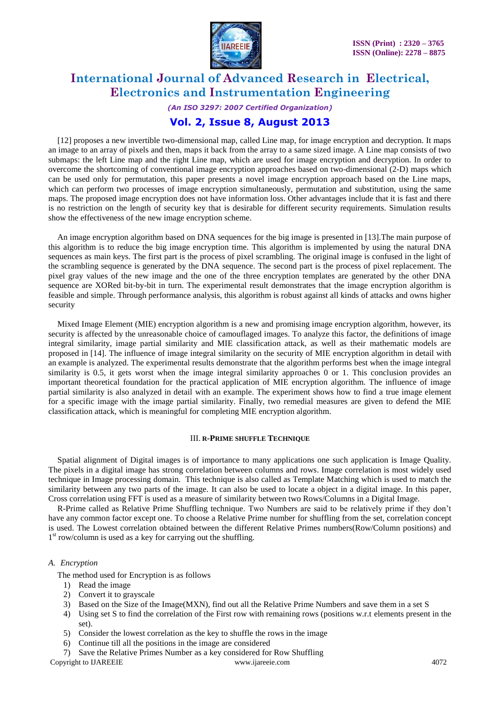

*(An ISO 3297: 2007 Certified Organization)* **Vol. 2, Issue 8, August 2013**

### [12] proposes a new invertible two-dimensional map, called Line map, for image encryption and decryption. It maps an image to an array of pixels and then, maps it back from the array to a same sized image. A Line map consists of two submaps: the left Line map and the right Line map, which are used for image encryption and decryption. In order to overcome the shortcoming of conventional image encryption approaches based on two-dimensional (2-D) maps which can be used only for permutation, this paper presents a novel image encryption approach based on the Line maps, which can perform two processes of image encryption simultaneously, permutation and substitution, using the same maps. The proposed image encryption does not have information loss. Other advantages include that it is fast and there is no restriction on the length of security key that is desirable for different security requirements. Simulation results show the effectiveness of the new image encryption scheme.

An image encryption algorithm based on DNA sequences for the big image is presented in [13].The main purpose of this algorithm is to reduce the big image encryption time. This algorithm is implemented by using the natural DNA sequences as main keys. The first part is the process of pixel scrambling. The original image is confused in the light of the scrambling sequence is generated by the DNA sequence. The second part is the process of pixel replacement. The pixel gray values of the new image and the one of the three encryption templates are generated by the other DNA sequence are XORed bit-by-bit in turn. The experimental result demonstrates that the image encryption algorithm is feasible and simple. Through performance analysis, this algorithm is robust against all kinds of attacks and owns higher security

Mixed Image Element (MIE) encryption algorithm is a new and promising image encryption algorithm, however, its security is affected by the unreasonable choice of camouflaged images. To analyze this factor, the definitions of image integral similarity, image partial similarity and MIE classification attack, as well as their mathematic models are proposed in [14]. The influence of image integral similarity on the security of MIE encryption algorithm in detail with an example is analyzed. The experimental results demonstrate that the algorithm performs best when the image integral similarity is 0.5, it gets worst when the image integral similarity approaches 0 or 1. This conclusion provides an important theoretical foundation for the practical application of MIE encryption algorithm. The influence of image partial similarity is also analyzed in detail with an example. The experiment shows how to find a true image element for a specific image with the image partial similarity. Finally, two remedial measures are given to defend the MIE classification attack, which is meaningful for completing MIE encryption algorithm.

### III. **R-PRIME SHUFFLE TECHNIQUE**

Spatial alignment of Digital images is of importance to many applications one such application is Image Quality. The pixels in a digital image has strong correlation between columns and rows. Image correlation is most widely used technique in Image processing domain. This technique is also called as Template Matching which is used to match the similarity between any two parts of the image. It can also be used to locate a object in a digital image. In this paper, Cross correlation using FFT is used as a measure of similarity between two Rows/Columns in a Digital Image.

R-Prime called as Relative Prime Shuffling technique. Two Numbers are said to be relatively prime if they don't have any common factor except one. To choose a Relative Prime number for shuffling from the set, correlation concept is used. The Lowest correlation obtained between the different Relative Primes numbers(Row/Column positions) and 1<sup>st</sup> row/column is used as a key for carrying out the shuffling.

### *A. Encryption*

The method used for Encryption is as follows

- 1) Read the image
- 2) Convert it to grayscale
- 3) Based on the Size of the Image(MXN), find out all the Relative Prime Numbers and save them in a set S
- 4) Using set S to find the correlation of the First row with remaining rows (positions w.r.t elements present in the set).
- 5) Consider the lowest correlation as the key to shuffle the rows in the image
- 6) Continue till all the positions in the image are considered
- Copyright to IJAREEIE [www.ijareeie.com](http://www.ijareeie.com/) 4072 7) Save the Relative Primes Number as a key considered for Row Shuffling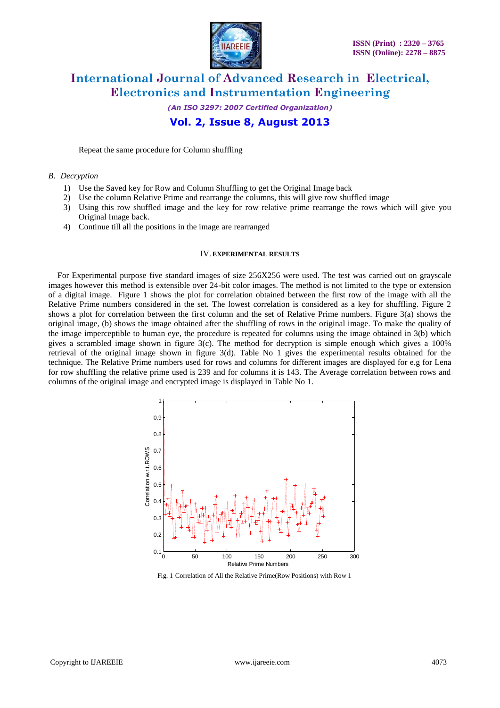

*(An ISO 3297: 2007 Certified Organization)* **Vol. 2, Issue 8, August 2013**

Repeat the same procedure for Column shuffling

### *B. Decryption*

- 1) Use the Saved key for Row and Column Shuffling to get the Original Image back
- 2) Use the column Relative Prime and rearrange the columns, this will give row shuffled image
- 3) Using this row shuffled image and the key for row relative prime rearrange the rows which will give you Original Image back.
- 4) Continue till all the positions in the image are rearranged

### IV. **EXPERIMENTAL RESULTS**

For Experimental purpose five standard images of size 256X256 were used. The test was carried out on grayscale images however this method is extensible over 24-bit color images. The method is not limited to the type or extension of a digital image. Figure 1 shows the plot for correlation obtained between the first row of the image with all the Relative Prime numbers considered in the set. The lowest correlation is considered as a key for shuffling. Figure 2 shows a plot for correlation between the first column and the set of Relative Prime numbers. Figure 3(a) shows the original image, (b) shows the image obtained after the shuffling of rows in the original image. To make the quality of the image imperceptible to human eye, the procedure is repeated for columns using the image obtained in 3(b) which gives a scrambled image shown in figure 3(c). The method for decryption is simple enough which gives a 100% retrieval of the original image shown in figure 3(d). Table No 1 gives the experimental results obtained for the technique. The Relative Prime numbers used for rows and columns for different images are displayed for e.g for Lena for row shuffling the relative prime used is 239 and for columns it is 143. The Average correlation between rows and columns of the original image and encrypted image is displayed in Table No 1.



Fig. 1 Correlation of All the Relative Prime(Row Positions) with Row 1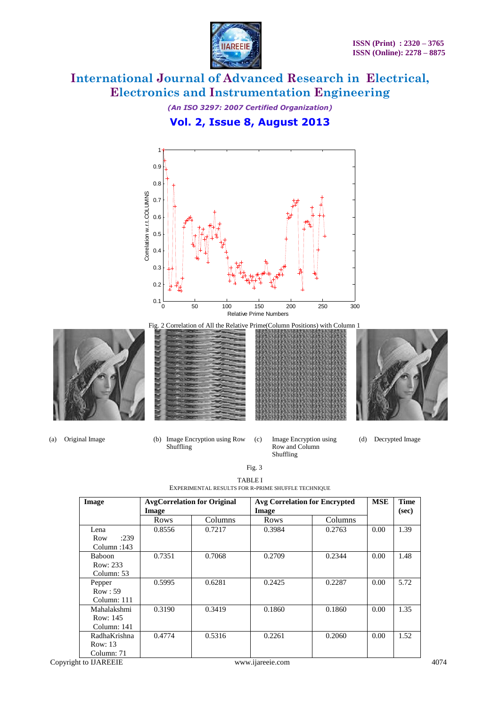

*(An ISO 3297: 2007 Certified Organization)* **Vol. 2, Issue 8, August 2013**



(a) Original Image (b) Image Encryption using Row Shuffling

- (c) Image Encryption using Row and Column Shuffling
- (d) Decrypted Image

| Image         | <b>AvgCorrelation for Original</b><br>Image |         | <b>Avg Correlation for Encrypted</b><br>Image |         | <b>MSE</b> | <b>Time</b><br>(sec) |
|---------------|---------------------------------------------|---------|-----------------------------------------------|---------|------------|----------------------|
|               | Rows                                        | Columns | Rows                                          | Columns |            |                      |
| Lena          | 0.8556                                      | 0.7217  | 0.3984                                        | 0.2763  | 0.00       | 1.39                 |
| :239<br>Row   |                                             |         |                                               |         |            |                      |
| Column:143    |                                             |         |                                               |         |            |                      |
| <b>Baboon</b> | 0.7351                                      | 0.7068  | 0.2709                                        | 0.2344  | 0.00       | 1.48                 |
| Row: 233      |                                             |         |                                               |         |            |                      |
| Column: 53    |                                             |         |                                               |         |            |                      |
| Pepper        | 0.5995                                      | 0.6281  | 0.2425                                        | 0.2287  | 0.00       | 5.72                 |
| Row:59        |                                             |         |                                               |         |            |                      |
| Column: 111   |                                             |         |                                               |         |            |                      |
| Mahalakshmi   | 0.3190                                      | 0.3419  | 0.1860                                        | 0.1860  | 0.00       | 1.35                 |
| Row: 145      |                                             |         |                                               |         |            |                      |
| Column: 141   |                                             |         |                                               |         |            |                      |
| RadhaKrishna  | 0.4774                                      | 0.5316  | 0.2261                                        | 0.2060  | 0.00       | 1.52                 |
| Row: 13       |                                             |         |                                               |         |            |                      |
| Column: 71    |                                             |         |                                               |         |            |                      |

| <b>TABLE I</b>                                     |
|----------------------------------------------------|
| EXPERIMENTAL RESULTS FOR R-PRIME SHUFFLE TECHNIQUE |

Fig. 3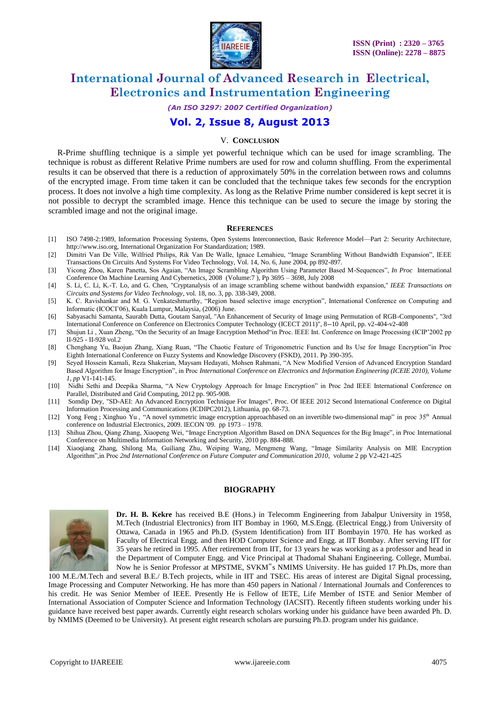

*(An ISO 3297: 2007 Certified Organization)*

### **Vol. 2, Issue 8, August 2013**

### V. **CONCLUSION**

R-Prime shuffling technique is a simple yet powerful technique which can be used for image scrambling. The technique is robust as different Relative Prime numbers are used for row and column shuffling. From the experimental results it can be observed that there is a reduction of approximately 50% in the correlation between rows and columns of the encrypted image. From time taken it can be concluded that the technique takes few seconds for the encryption process. It does not involve a high time complexity. As long as the Relative Prime number considered is kept secret it is not possible to decrypt the scrambled image. Hence this technique can be used to secure the image by storing the scrambled image and not the original image.

#### **REFERENCES**

- [1] ISO 7498-2:1989, Information Processing Systems, Open Systems Interconnection, Basic Reference Model—Part 2: Security Architecture, http://www.iso.org, International Organization For Standardization; 1989.
- [2] Dimitri Van De Ville, Wilfried Philips, Rik Van De Walle, Ignace Lemahieu, "Image Scrambling Without Bandwidth Expansion", IEEE Transactions On Circuits And Systems For Video Technology, Vol. 14, No. 6, June 2004, pp 892-897.
- [3] Yicong Zhou, Karen Panetta, Sos Agaian, ―An Image Scrambling Algorithm Using Parameter Based M-Sequences‖, *In Proc* [International](http://ieeexplore.ieee.org/xpl/mostRecentIssue.jsp?punumber=4604641)  [Conference On Machine Learning And Cybernetics, 2008](http://ieeexplore.ieee.org/xpl/mostRecentIssue.jsp?punumber=4604641) (Volume:7 ), Pp 3695 – 3698, July 2008
- [4] S. Li, C. Li, K.-T. Lo, and G. Chen, "Cryptanalysis of an image scrambling scheme without bandwidth expansion," *IEEE Transactions on Circuits and Systems for Video Technology*, vol. 18, no. 3, pp. 338-349, 2008.
- [5] K. C. Ravishankar and M. G. Venkateshmurthy, "Region based selective image encryption", International Conference on Computing and Informatic (ICOCI'06), Kuala Lumpur, Malaysia, (2006) June.
- [6] Sabyasachi Samanta, Saurabh Dutta, Goutam Sanyal, "An Enhancement of Security of Image using Permutation of RGB-Components", "3rd International Conference on Conference on Electronics Computer Technology (ICECT 2011)", 8--10 April, pp. v2-404-v2-408
- [7] Shujun Li, Xuan Zheng, "On the Security of an Image Encryption Method"in Proc. IEEE Int. Conference on Image Processing (ICIP'2002 pp II-925 - II-928 vol.2
- [8] Chenghang Yu, Baojun Zhang, Xiang Ruan, "The Chaotic Feature of Trigonometric Function and Its Use for Image Encryption"in Proc Eighth International Conference on Fuzzy Systems and Knowledge Discovery (FSKD), 2011. Pp 390-395.
- [9] Seyed Hossein Kamali, Reza Shakerian, Maysam Hedayati, Mohsen Rahmani, "A New Modified Version of Advanced Encryption Standard Based Algorithm for Image Encryption", in Proc *International Conference on Electronics and Information Engineering (ICEIE 2010), Volume 1, pp* V1-141-145.
- [10] Nidhi Sethi and Deepika Sharma, "A New Cryptology Approach for Image Encryption" in Proc 2nd IEEE International Conference on Parallel, Distributed and Grid Computing, 2012 pp. 905-908.
- [11] Somdip Dey, "SD-AEI: An Advanced Encryption Technique For Images", Proc. Of IEEE 2012 Second International Conference on Digital Information Processing and Communications (ICDIPC2012), Lithuania, pp. 68-73.
- [12] [Yong Feng](http://ieeexplore.ieee.org/search/searchresult.jsp?searchWithin=p_Authors:.QT.Yong%20Feng.QT.&searchWithin=p_Author_Ids:37272764800&newsearch=true) ; [Xinghuo Yu](http://ieeexplore.ieee.org/search/searchresult.jsp?searchWithin=p_Authors:.QT.Xinghuo%20Yu.QT.&searchWithin=p_Author_Ids:37280835100&newsearch=true) , "A novel symmetric image encryption approachbased on an invertible [two-dimensional](http://ieeexplore.ieee.org/xpl/articleDetails.jsp?tp=&arnumber=5414887&queryText%3DA+Novel+Symmetric+Image+Encryption+Approach+based+on+an+Invertible+Two-dimensional+Map) map" in proc 35<sup>th</sup> Annual conference on Industrial Electronics, 2009. IECON '09. pp 1973 – 1978.
- [13] Shihua Zhou, Qiang Zhang, Xiaopeng Wei, "Image Encryption Algorithm Based on DNA Sequences for the Big Image", in Proc International Conference on Multimedia Information Networking and Security, 2010 pp. 884-888.
- [14] Xiaoqiang Zhang, Shilong Ma, Guiliang Zhu, Weiping Wang, Mengmeng Wang, "Image Similarity Analysis on MIE Encryption Algorithm‖,in Proc *2nd International Conference on Future Computer and Communication 2010,* volume 2 pp V2-421-425

### **BIOGRAPHY**



**Dr. H. B. Kekre** has received B.E (Hons.) in Telecomm Engineering from Jabalpur University in 1958, M.Tech (Industrial Electronics) from IIT Bombay in 1960, M.S.Engg. (Electrical Engg.) from University of Ottawa, Canada in 1965 and Ph.D. (System Identification) from IIT Bombayin 1970. He has worked as Faculty of Electrical Engg. and then HOD Computer Science and Engg. at IIT Bombay. After serving IIT for 35 years he retired in 1995. After retirement from IIT, for 13 years he was working as a professor and head in the Department of Computer Engg. and Vice Principal at Thadomal Shahani Engineering. College, Mumbai. Now he is Senior Professor at MPSTME, SVKM"s NMIMS University. He has guided 17 Ph.Ds, more than

100 M.E./M.Tech and several B.E./ B.Tech projects, while in IIT and TSEC. His areas of interest are Digital Signal processing, Image Processing and Computer Networking. He has more than 450 papers in National / International Journals and Conferences to his credit. He was Senior Member of IEEE. Presently He is Fellow of IETE, Life Member of ISTE and Senior Member of International Association of Computer Science and Information Technology (IACSIT). Recently fifteen students working under his guidance have received best paper awards. Currently eight research scholars working under his guidance have been awarded Ph. D. by NMIMS (Deemed to be University). At present eight research scholars are pursuing Ph.D. program under his guidance.